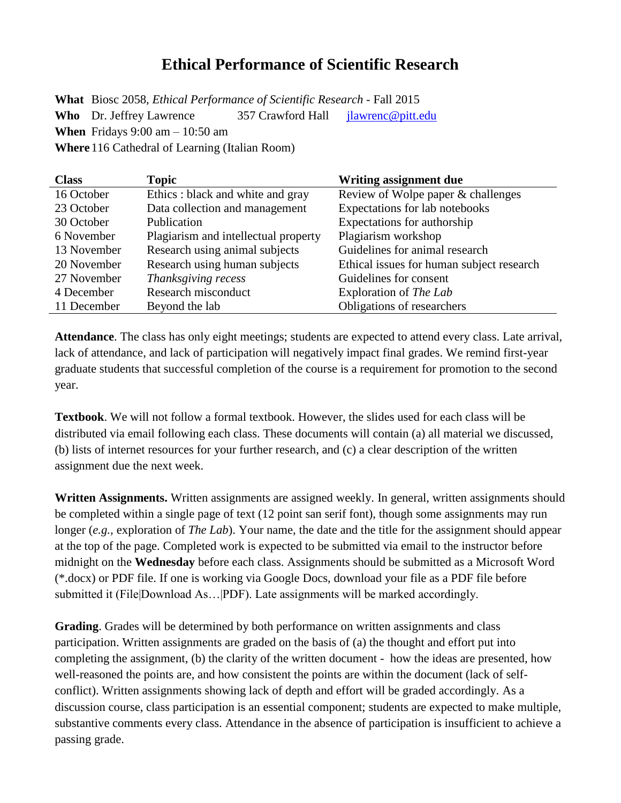## **Ethical Performance of Scientific Research**

**What** Biosc 2058, *Ethical Performance of Scientific Research* - Fall 2015 **Who** Dr. Jeffrey Lawrence 357 Crawford Hall [jlawrenc@pitt.edu](mailto:jlawrenc@pitt.edu) **When** Fridays 9:00 am – 10:50 am **Where**116 Cathedral of Learning (Italian Room)

| <b>Class</b> | <b>Topic</b>                         | Writing assignment due                    |
|--------------|--------------------------------------|-------------------------------------------|
| 16 October   | Ethics : black and white and gray    | Review of Wolpe paper & challenges        |
| 23 October   | Data collection and management       | Expectations for lab notebooks            |
| 30 October   | Publication                          | Expectations for authorship               |
| 6 November   | Plagiarism and intellectual property | Plagiarism workshop                       |
| 13 November  | Research using animal subjects       | Guidelines for animal research            |
| 20 November  | Research using human subjects        | Ethical issues for human subject research |
| 27 November  | Thanksgiving recess                  | Guidelines for consent                    |
| 4 December   | Research misconduct                  | Exploration of The Lab                    |
| 11 December  | Beyond the lab                       | Obligations of researchers                |

**Attendance**. The class has only eight meetings; students are expected to attend every class. Late arrival, lack of attendance, and lack of participation will negatively impact final grades. We remind first-year graduate students that successful completion of the course is a requirement for promotion to the second year.

**Textbook**. We will not follow a formal textbook. However, the slides used for each class will be distributed via email following each class. These documents will contain (a) all material we discussed, (b) lists of internet resources for your further research, and (c) a clear description of the written assignment due the next week.

**Written Assignments.** Written assignments are assigned weekly. In general, written assignments should be completed within a single page of text (12 point san serif font), though some assignments may run longer (*e.g.,* exploration of *The Lab*). Your name, the date and the title for the assignment should appear at the top of the page. Completed work is expected to be submitted via email to the instructor before midnight on the **Wednesday** before each class. Assignments should be submitted as a Microsoft Word (\*.docx) or PDF file. If one is working via Google Docs, download your file as a PDF file before submitted it (File|Download As...|PDF). Late assignments will be marked accordingly.

**Grading**. Grades will be determined by both performance on written assignments and class participation. Written assignments are graded on the basis of (a) the thought and effort put into completing the assignment, (b) the clarity of the written document - how the ideas are presented, how well-reasoned the points are, and how consistent the points are within the document (lack of selfconflict). Written assignments showing lack of depth and effort will be graded accordingly. As a discussion course, class participation is an essential component; students are expected to make multiple, substantive comments every class. Attendance in the absence of participation is insufficient to achieve a passing grade.